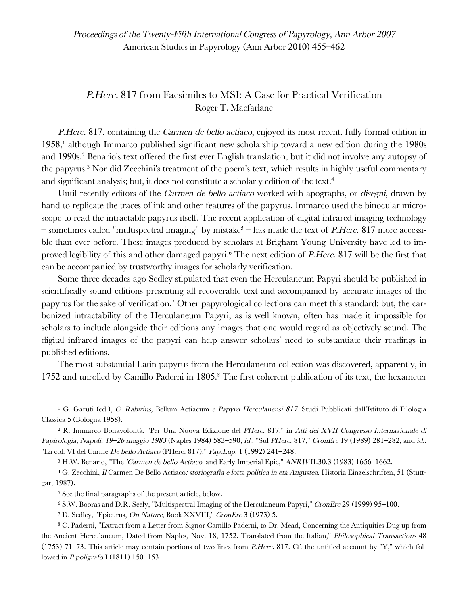## P.Herc. 817 from Facsimiles to MSI: A Case for Practical Verification Roger T. Macfarlane

P.Herc. 817, containing the *Carmen de bello actiaco*, enjoyed its most recent, fully formal edition in 1958,1 although Immarco published significant new scholarship toward a new edition during the 1980s and 1990s.<sup>2</sup> Benario's text offered the first ever English translation, but it did not involve any autopsy of the papyrus.3 Nor did Zecchini's treatment of the poem's text, which results in highly useful commentary and significant analysis; but, it does not constitute a scholarly edition of the text.4

Until recently editors of the *Carmen de bello actiaco* worked with apographs, or *disegni*, drawn by hand to replicate the traces of ink and other features of the papyrus. Immarco used the binocular microscope to read the intractable papyrus itself. The recent application of digital infrared imaging technology – sometimes called "multispectral imaging" by mistake<sup>5</sup> – has made the text of *P.Herc.* 817 more accessible than ever before. These images produced by scholars at Brigham Young University have led to improved legibility of this and other damaged papyri.6 The next edition of P.Herc. 817 will be the first that can be accompanied by trustworthy images for scholarly verification.

Some three decades ago Sedley stipulated that even the Herculaneum Papyri should be published in scientifically sound editions presenting all recoverable text and accompanied by accurate images of the papyrus for the sake of verification.7 Other papyrological collections can meet this standard; but, the carbonized intractability of the Herculaneum Papyri, as is well known, often has made it impossible for scholars to include alongside their editions any images that one would regard as objectively sound. The digital infrared images of the papyri can help answer scholars' need to substantiate their readings in published editions.

The most substantial Latin papyrus from the Herculaneum collection was discovered, apparently, in 1752 and unrolled by Camillo Paderni in 1805.8 The first coherent publication of its text, the hexameter

<sup>3</sup> H.W. Benario, "The 'Carmen de bello Actiaco' and Early Imperial Epic," ANRW II.30.3 (1983) 1656–1662.

7 D. Sedley, "Epicurus, On Nature, Book XXVIII," CronErc 3 (1973) 5.

<sup>&</sup>lt;u>.</u> <sup>1</sup> G. Garuti (ed.), C. Rabirius, Bellum Actiacum e Papyro Herculanensi 817. Studi Pubblicati dall'Istituto di Filologia Classica 5 (Bologna 1958).

<sup>&</sup>lt;sup>2</sup> R. Immarco Bonavolontà, "Per Una Nuova Edizione del PHerc. 817," in Atti del XVII Congresso Internazionale di Papirologia, Napoli, 19–26 maggio 1983 (Naples 1984) 583–590; id., "Sul PHerc. 817," CronErc 19 (1989) 281–282; and id., "La col. VI del Carme De bello Actiaco (PHerc. 817)," Pap.Lup. 1 (1992) 241–248.

<sup>4</sup> G. Zecchini, Il Carmen De Bello Actiaco: storiografia e lotta politica in età Augustea. Historia Einzelschriften, 51 (Stuttgart 1987).

<sup>5</sup> See the final paragraphs of the present article, below.

<sup>6</sup> S.W. Booras and D.R. Seely, "Multispectral Imaging of the Herculaneum Papyri," CronErc 29 (1999) 95–100.

<sup>8</sup> C. Paderni, "Extract from a Letter from Signor Camillo Paderni, to Dr. Mead, Concerning the Antiquities Dug up from the Ancient Herculaneum, Dated from Naples, Nov. 18, 1752. Translated from the Italian," Philosophical Transactions 48 (1753) 71–73. This article may contain portions of two lines from P.Herc. 817. Cf. the untitled account by "Y," which followed in *Il poligrafo* I (1811) 150–153.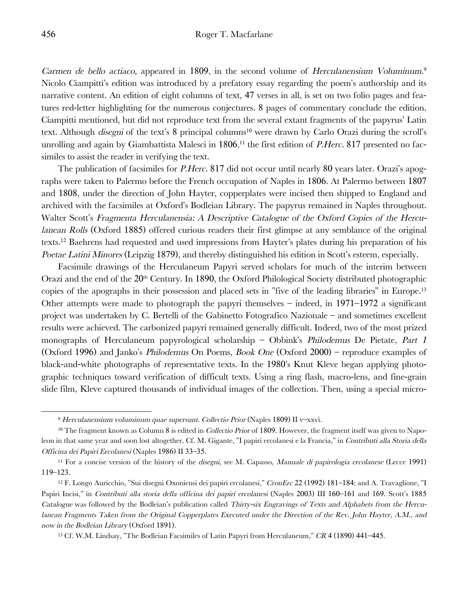Carmen de bello actiaco, appeared in 1809, in the second volume of Herculanensium Voluminum.<sup>9</sup> Nicolo Ciampitti's edition was introduced by a prefatory essay regarding the poem's authorship and its narrative content. An edition of eight columns of text, 47 verses in all, is set on two folio pages and features red-letter highlighting for the numerous conjectures. 8 pages of commentary conclude the edition. Ciampitti mentioned, but did not reproduce text from the several extant fragments of the papyrus' Latin text. Although *disegni* of the text's 8 principal columns<sup>10</sup> were drawn by Carlo Orazi during the scroll's unrolling and again by Giambattista Malesci in  $1806$ ,<sup>11</sup> the first edition of *P.Herc.* 817 presented no facsimiles to assist the reader in verifying the text.

The publication of facsimiles for *P.Herc.* 817 did not occur until nearly 80 years later. Orazi's apographs were taken to Palermo before the French occupation of Naples in 1806. At Palermo between 1807 and 1808, under the direction of John Hayter, copperplates were incised then shipped to England and archived with the facsimiles at Oxford's Bodleian Library. The papyrus remained in Naples throughout. Walter Scott's Fragmenta Herculanensia: A Descriptive Catalogue of the Oxford Copies of the Herculanean Rolls (Oxford 1885) offered curious readers their first glimpse at any semblance of the original texts.12 Baehrens had requested and used impressions from Hayter's plates during his preparation of his Poetae Latini Minores (Leipzig 1879), and thereby distinguished his edition in Scott's esteem, especially.

Facsimile drawings of the Herculaneum Papyri served scholars for much of the interim between Orazi and the end of the 20<sup>th</sup> Century. In 1890, the Oxford Philological Society distributed photographic copies of the apographs in their possession and placed sets in "five of the leading libraries" in Europe.13 Other attempts were made to photograph the papyri themselves – indeed, in 1971–1972 a significant project was undertaken by C. Bertelli of the Gabinetto Fotografico Nazionale – and sometimes excellent results were achieved. The carbonized papyri remained generally difficult. Indeed, two of the most prized monographs of Herculaneum papyrological scholarship – Obbink's Philodemus De Pietate, Part 1 (Oxford 1996) and Janko's Philodemus On Poems, Book One (Oxford 2000) – reproduce examples of black-and-white photographs of representative texts. In the 1980's Knut Kleve began applying photographic techniques toward verification of difficult texts. Using a ring flash, macro-lens, and fine-grain slide film, Kleve captured thousands of individual images of the collection. Then, using a special micro-

<u>.</u>

<sup>9</sup> Herculanensium voluminum quae supersunt. Collectio Prior (Naples 1809) II v–xxvi.

<sup>&</sup>lt;sup>10</sup> The fragment known as Column 8 is edited in *Collectio Prior* of 1809. However, the fragment itself was given to Napoleon in that same year and soon lost altogether. Cf. M. Gigante, "I papiri ercolanesi e la Francia," in Contributi alla Storia della Officina dei Papiri Ercolanesi (Naples 1986) II 33–35.

<sup>&</sup>lt;sup>11</sup> For a concise version of the history of the *disegni*, see M. Capasso, *Manuale di papirologia ercolanese* (Lecce 1991) 119–123.

<sup>12</sup> F. Longo Auricchio, "Sui disegni Oxoniensi dei papiri ercolanesi," CronErc 22 (1992) 181–184; and A. Travaglione, "I Papiri Incisi," in Contributi alla storia della officina dei papiri ercolanesi (Naples 2003) III 160–161 and 169. Scott's 1885 Catalogue was followed by the Bodleian's publication called Thirty-six Engravings of Texts and Alphabets from the Herculanean Fragments Taken from the Original Copperplates Executed under the Direction of the Rev. John Hayter, A.M., and now in the Bodleian Library (Oxford 1891).

<sup>13</sup> Cf. W.M. Lindsay, "The Bodleian Facsimiles of Latin Papyri from Herculaneum," CR 4 (1890) 441–445.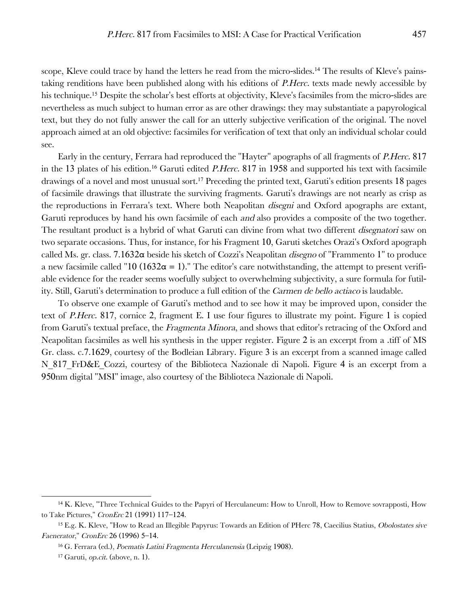scope, Kleve could trace by hand the letters he read from the micro-slides.14 The results of Kleve's painstaking renditions have been published along with his editions of P.Herc. texts made newly accessible by his technique.<sup>15</sup> Despite the scholar's best efforts at objectivity, Kleve's facsimiles from the micro-slides are nevertheless as much subject to human error as are other drawings: they may substantiate a papyrological text, but they do not fully answer the call for an utterly subjective verification of the original. The novel approach aimed at an old objective: facsimiles for verification of text that only an individual scholar could see.

Early in the century, Ferrara had reproduced the "Hayter" apographs of all fragments of P.Herc. 817 in the 13 plates of his edition.<sup>16</sup> Garuti edited *P.Herc.* 817 in 1958 and supported his text with facsimile drawings of a novel and most unusual sort.17 Preceding the printed text, Garuti's edition presents 18 pages of facsimile drawings that illustrate the surviving fragments. Garuti's drawings are not nearly as crisp as the reproductions in Ferrara's text. Where both Neapolitan disegni and Oxford apographs are extant, Garuti reproduces by hand his own facsimile of each and also provides a composite of the two together. The resultant product is a hybrid of what Garuti can divine from what two different *disegnatori* saw on two separate occasions. Thus, for instance, for his Fragment 10, Garuti sketches Orazi's Oxford apograph called Ms. gr. class. 7.1632 $\alpha$  beside his sketch of Cozzi's Neapolitan *disegno* of "Frammento 1" to produce a new facsimile called "10 (1632 $\alpha$  = 1)." The editor's care notwithstanding, the attempt to present verifiable evidence for the reader seems woefully subject to overwhelming subjectivity, a sure formula for futility. Still, Garuti's determination to produce a full edition of the Carmen de bello actiaco is laudable.

To observe one example of Garuti's method and to see how it may be improved upon, consider the text of P.Herc. 817, cornice 2, fragment E. I use four figures to illustrate my point. Figure 1 is copied from Garuti's textual preface, the Fragmenta Minora, and shows that editor's retracing of the Oxford and Neapolitan facsimiles as well his synthesis in the upper register. Figure 2 is an excerpt from a .tiff of MS Gr. class. c.7.1629, courtesy of the Bodleian Library. Figure 3 is an excerpt from a scanned image called N 817 FrD&E Cozzi, courtesy of the Biblioteca Nazionale di Napoli. Figure 4 is an excerpt from a 950nm digital "MSI" image, also courtesy of the Biblioteca Nazionale di Napoli.

<u>.</u>

<sup>14</sup> K. Kleve, "Three Technical Guides to the Papyri of Herculaneum: How to Unroll, How to Remove sovrapposti, How to Take Pictures," CronErc 21 (1991) 117–124.

<sup>&</sup>lt;sup>15</sup> E.g. K. Kleve, "How to Read an Illegible Papyrus: Towards an Edition of PHerc 78, Caecilius Statius, Obolostates sive Faenerator," CronErc 26 (1996) 5–14.

<sup>16</sup> G. Ferrara (ed.), Poematis Latini Fragmenta Herculanensia (Leipzig 1908).

 $17$  Garuti, *op.cit.* (above, n. 1).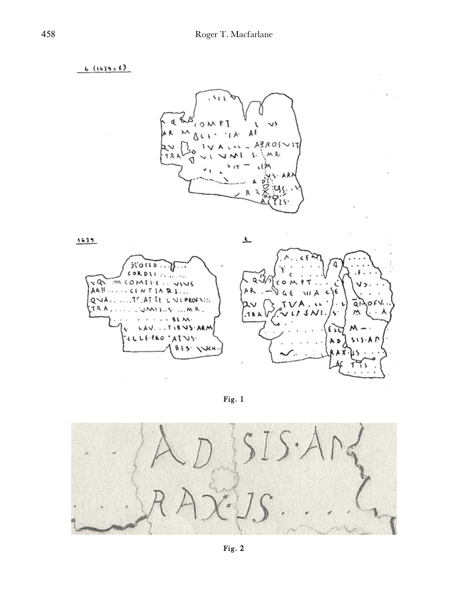v۶

A.EROS~IT мQ.

Дł





Fig. 1



Fig. 2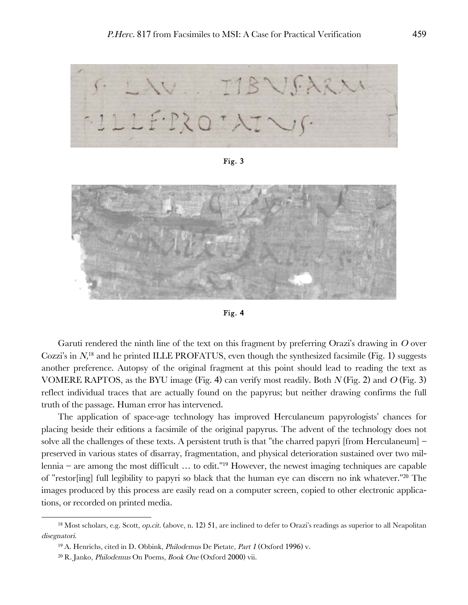

Fig. 3





Garuti rendered the ninth line of the text on this fragment by preferring Orazi's drawing in O over Cozzi's in  $N<sub>i</sub>$ <sup>18</sup> and he printed ILLE PROFATUS, even though the synthesized facsimile (Fig. 1) suggests another preference. Autopsy of the original fragment at this point should lead to reading the text as VOMERE RAPTOS, as the BYU image (Fig. 4) can verify most readily. Both  $N$  (Fig. 2) and  $O$  (Fig. 3) reflect individual traces that are actually found on the papyrus; but neither drawing confirms the full truth of the passage. Human error has intervened.

The application of space-age technology has improved Herculaneum papyrologists' chances for placing beside their editions a facsimile of the original papyrus. The advent of the technology does not solve all the challenges of these texts. A persistent truth is that "the charred papyri [from Herculaneum] – preserved in various states of disarray, fragmentation, and physical deterioration sustained over two millennia – are among the most difficult … to edit."19 However, the newest imaging techniques are capable of "restor[ing] full legibility to papyri so black that the human eye can discern no ink whatever."20 The images produced by this process are easily read on a computer screen, copied to other electronic applications, or recorded on printed media.

1

<sup>&</sup>lt;sup>18</sup> Most scholars, e.g. Scott, *op.cit.* (above, n. 12) 51, are inclined to defer to Orazi's readings as superior to all Neapolitan disegnatori.

<sup>19</sup> A. Henrichs, cited in D. Obbink, Philodemus De Pietate, Part 1 (Oxford 1996) v.

<sup>20</sup> R. Janko, Philodemus On Poems, Book One (Oxford 2000) vii.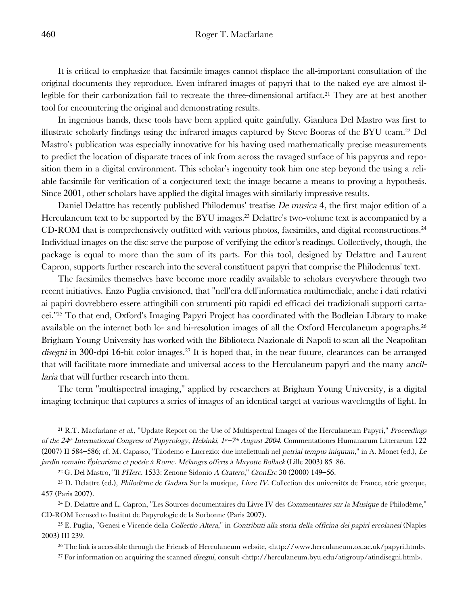It is critical to emphasize that facsimile images cannot displace the all-important consultation of the original documents they reproduce. Even infrared images of papyri that to the naked eye are almost illegible for their carbonization fail to recreate the three-dimensional artifact.<sup>21</sup> They are at best another tool for encountering the original and demonstrating results.

In ingenious hands, these tools have been applied quite gainfully. Gianluca Del Mastro was first to illustrate scholarly findings using the infrared images captured by Steve Booras of the BYU team.22 Del Mastro's publication was especially innovative for his having used mathematically precise measurements to predict the location of disparate traces of ink from across the ravaged surface of his papyrus and reposition them in a digital environment. This scholar's ingenuity took him one step beyond the using a reliable facsimile for verification of a conjectured text; the image became a means to proving a hypothesis. Since 2001, other scholars have applied the digital images with similarly impressive results.

Daniel Delattre has recently published Philodemus' treatise De musica 4, the first major edition of a Herculaneum text to be supported by the BYU images.<sup>23</sup> Delattre's two-volume text is accompanied by a CD-ROM that is comprehensively outfitted with various photos, facsimiles, and digital reconstructions.24 Individual images on the disc serve the purpose of verifying the editor's readings. Collectively, though, the package is equal to more than the sum of its parts. For this tool, designed by Delattre and Laurent Capron, supports further research into the several constituent papyri that comprise the Philodemus' text.

The facsimiles themselves have become more readily available to scholars everywhere through two recent initiatives. Enzo Puglia envisioned, that "nell'era dell'informatica multimediale, anche i dati relativi ai papiri dovrebbero essere attingibili con strumenti più rapidi ed efficaci dei tradizionali supporti cartacei."25 To that end, Oxford's Imaging Papyri Project has coordinated with the Bodleian Library to make available on the internet both lo- and hi-resolution images of all the Oxford Herculaneum apographs.26 Brigham Young University has worked with the Biblioteca Nazionale di Napoli to scan all the Neapolitan disegni in 300-dpi 16-bit color images.<sup>27</sup> It is hoped that, in the near future, clearances can be arranged that will facilitate more immediate and universal access to the Herculaneum papyri and the many ancillaria that will further research into them.

The term "multispectral imaging," applied by researchers at Brigham Young University, is a digital imaging technique that captures a series of images of an identical target at various wavelengths of light. In

1

<sup>&</sup>lt;sup>21</sup> R.T. Macfarlane et al., "Update Report on the Use of Multispectral Images of the Herculaneum Papyri," Proceedings of the 24<sup>th</sup> International Congress of Papyrology, Helsinki, 1<sup>st</sup>–7<sup>th</sup> August 2004. Commentationes Humanarum Litterarum 122 (2007) II 584–586; cf. M. Capasso, "Filodemo e Lucrezio: due intellettuali nel patriai tempus iniquum," in A. Monet (ed.), Le jardin romain: Épicurisme et poésie à Rome. Mélanges offerts à Mayotte Bollack (Lille 2003) 85–86.

<sup>22</sup> G. Del Mastro, "Il PHerc. 1533: Zenone Sidonio A Cratero," CronErc 30 (2000) 149–56.

 $23$  D. Delattre (ed.), *Philodème de Gadara* Sur la musique, Livre IV. Collection des universités de France, série grecque, 457 (Paris 2007).

<sup>&</sup>lt;sup>24</sup> D. Delattre and L. Capron, "Les Sources documentaires du Livre IV des Commentaires sur la Musique de Philodème," CD-ROM licensed to Institut de Papyrologie de la Sorbonne (Paris 2007).

<sup>&</sup>lt;sup>25</sup> E. Puglia, "Genesi e Vicende della Collectio Altera," in Contributi alla storia della officina dei papiri ercolanesi (Naples 2003) III 239.

<sup>26</sup> The link is accessible through the Friends of Herculaneum website, <http://www.herculaneum.ox.ac.uk/papyri.html>.

<sup>&</sup>lt;sup>27</sup> For information on acquiring the scanned *disegni*, consult <http://herculaneum.byu.edu/atigroup/atindisegni.html>.